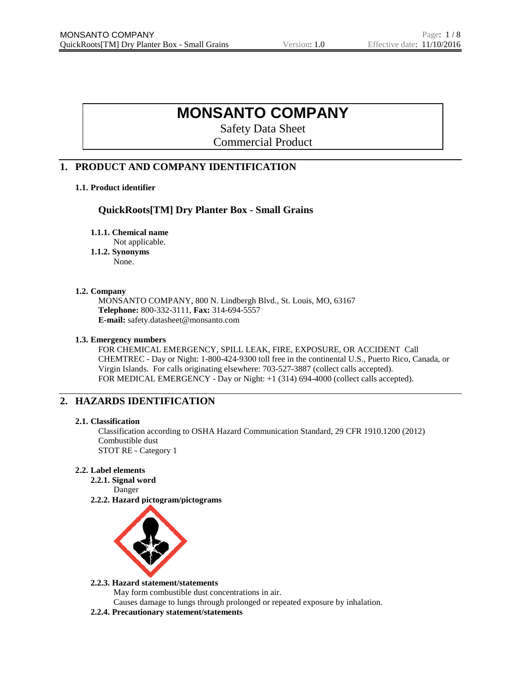# **MONSANTO COMPANY**

Safety Data Sheet Commercial Product

# **1. PRODUCT AND COMPANY IDENTIFICATION**

# **1.1. Product identifier**

# **QuickRoots[TM] Dry Planter Box - Small Grains**

**1.1.1. Chemical name**

Not applicable.

**1.1.2. Synonyms** None.

# **1.2. Company**

MONSANTO COMPANY, 800 N. Lindbergh Blvd., St. Louis, MO, 63167 **Telephone:** 800-332-3111, **Fax:** 314-694-5557 **E-mail:** safety.datasheet@monsanto.com

### **1.3. Emergency numbers**

FOR CHEMICAL EMERGENCY, SPILL LEAK, FIRE, EXPOSURE, OR ACCIDENT Call CHEMTREC - Day or Night: 1-800-424-9300 toll free in the continental U.S., Puerto Rico, Canada, or Virgin Islands. For calls originating elsewhere: 703-527-3887 (collect calls accepted). FOR MEDICAL EMERGENCY - Day or Night: +1 (314) 694-4000 (collect calls accepted).

# **2. HAZARDS IDENTIFICATION**

#### **2.1. Classification**

Classification according to OSHA Hazard Communication Standard, 29 CFR 1910.1200 (2012) Combustible dust STOT RE - Category 1

# **2.2. Label elements**

**2.2.1. Signal word**

Danger

**2.2.2. Hazard pictogram/pictograms**



#### **2.2.3. Hazard statement/statements**

May form combustible dust concentrations in air. Causes damage to lungs through prolonged or repeated exposure by inhalation.

**2.2.4. Precautionary statement/statements**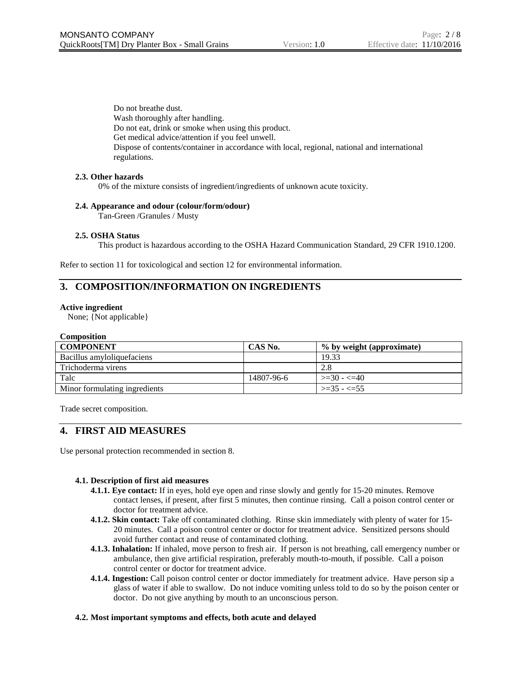Do not breathe dust. Wash thoroughly after handling. Do not eat, drink or smoke when using this product. Get medical advice/attention if you feel unwell. Dispose of contents/container in accordance with local, regional, national and international regulations.

### **2.3. Other hazards**

0% of the mixture consists of ingredient/ingredients of unknown acute toxicity.

#### **2.4. Appearance and odour (colour/form/odour)**

Tan-Green /Granules / Musty

### **2.5. OSHA Status**

This product is hazardous according to the OSHA Hazard Communication Standard, 29 CFR 1910.1200.

Refer to section 11 for toxicological and section 12 for environmental information.

# **3. COMPOSITION/INFORMATION ON INGREDIENTS**

#### **Active ingredient**

None; {Not applicable}

#### **Composition**

| <b>COMPONENT</b>              | CAS No.    | % by weight (approximate) |
|-------------------------------|------------|---------------------------|
| Bacillus amyloliquefaciens    |            | 19.33                     |
| Trichoderma virens            |            | 2.8                       |
| Talc                          | 14807-96-6 | $>=30 - 540$              |
| Minor formulating ingredients |            | $\ge$ = 35 - $\lt$ = 55   |

Trade secret composition.

# **4. FIRST AID MEASURES**

Use personal protection recommended in section 8.

# **4.1. Description of first aid measures**

- **4.1.1. Eye contact:** If in eyes, hold eye open and rinse slowly and gently for 15-20 minutes. Remove contact lenses, if present, after first 5 minutes, then continue rinsing. Call a poison control center or doctor for treatment advice.
- **4.1.2. Skin contact:** Take off contaminated clothing. Rinse skin immediately with plenty of water for 15- 20 minutes. Call a poison control center or doctor for treatment advice. Sensitized persons should avoid further contact and reuse of contaminated clothing.
- **4.1.3. Inhalation:** If inhaled, move person to fresh air. If person is not breathing, call emergency number or ambulance, then give artificial respiration, preferably mouth-to-mouth, if possible. Call a poison control center or doctor for treatment advice.
- **4.1.4. Ingestion:** Call poison control center or doctor immediately for treatment advice. Have person sip a glass of water if able to swallow. Do not induce vomiting unless told to do so by the poison center or doctor. Do not give anything by mouth to an unconscious person.

#### **4.2. Most important symptoms and effects, both acute and delayed**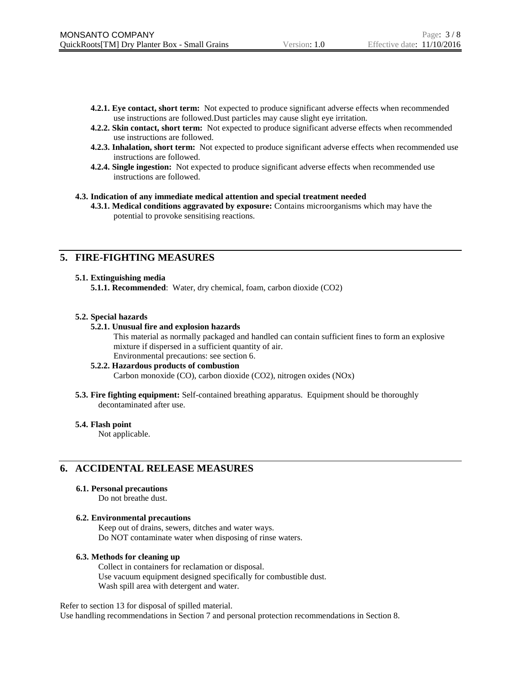- **4.2.1. Eye contact, short term:** Not expected to produce significant adverse effects when recommended use instructions are followed.Dust particles may cause slight eye irritation.
- **4.2.2. Skin contact, short term:** Not expected to produce significant adverse effects when recommended use instructions are followed.
- **4.2.3. Inhalation, short term:** Not expected to produce significant adverse effects when recommended use instructions are followed.
- **4.2.4. Single ingestion:** Not expected to produce significant adverse effects when recommended use instructions are followed.

#### **4.3. Indication of any immediate medical attention and special treatment needed**

**4.3.1. Medical conditions aggravated by exposure:** Contains microorganisms which may have the potential to provoke sensitising reactions.

# **5. FIRE-FIGHTING MEASURES**

#### **5.1. Extinguishing media**

**5.1.1. Recommended**: Water, dry chemical, foam, carbon dioxide (CO2)

#### **5.2. Special hazards**

#### **5.2.1. Unusual fire and explosion hazards**

This material as normally packaged and handled can contain sufficient fines to form an explosive mixture if dispersed in a sufficient quantity of air. Environmental precautions: see section 6.

#### **5.2.2. Hazardous products of combustion**

Carbon monoxide (CO), carbon dioxide (CO2), nitrogen oxides (NOx)

**5.3. Fire fighting equipment:** Self-contained breathing apparatus. Equipment should be thoroughly decontaminated after use.

#### **5.4. Flash point**

Not applicable.

# **6. ACCIDENTAL RELEASE MEASURES**

#### **6.1. Personal precautions**

Do not breathe dust.

#### **6.2. Environmental precautions**

Keep out of drains, sewers, ditches and water ways. Do NOT contaminate water when disposing of rinse waters.

#### **6.3. Methods for cleaning up**

Collect in containers for reclamation or disposal. Use vacuum equipment designed specifically for combustible dust. Wash spill area with detergent and water.

Refer to section 13 for disposal of spilled material.

Use handling recommendations in Section 7 and personal protection recommendations in Section 8.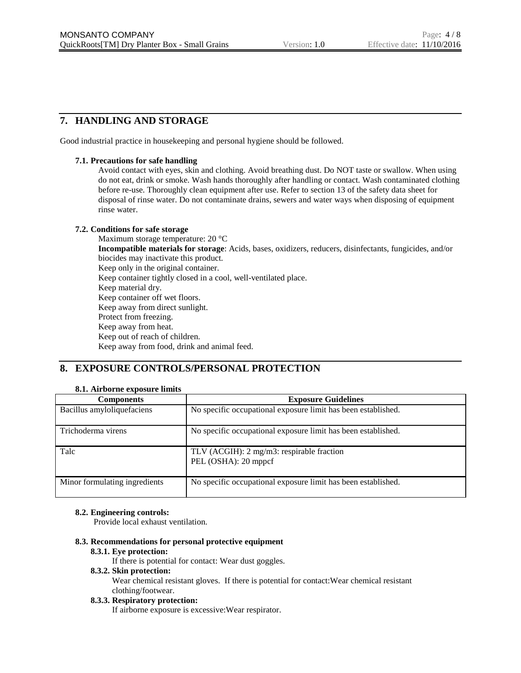# **7. HANDLING AND STORAGE**

Good industrial practice in housekeeping and personal hygiene should be followed.

### **7.1. Precautions for safe handling**

Avoid contact with eyes, skin and clothing. Avoid breathing dust. Do NOT taste or swallow. When using do not eat, drink or smoke. Wash hands thoroughly after handling or contact. Wash contaminated clothing before re-use. Thoroughly clean equipment after use. Refer to section 13 of the safety data sheet for disposal of rinse water. Do not contaminate drains, sewers and water ways when disposing of equipment rinse water.

### **7.2. Conditions for safe storage**

Maximum storage temperature: 20 °C **Incompatible materials for storage**: Acids, bases, oxidizers, reducers, disinfectants, fungicides, and/or biocides may inactivate this product. Keep only in the original container. Keep container tightly closed in a cool, well-ventilated place. Keep material dry. Keep container off wet floors. Keep away from direct sunlight. Protect from freezing. Keep away from heat. Keep out of reach of children. Keep away from food, drink and animal feed.

# **8. EXPOSURE CONTROLS/PERSONAL PROTECTION**

# **8.1. Airborne exposure limits**

| <b>Components</b>             | <b>Exposure Guidelines</b>                                        |
|-------------------------------|-------------------------------------------------------------------|
| Bacillus amyloliquefaciens    | No specific occupational exposure limit has been established.     |
| Trichoderma virens            | No specific occupational exposure limit has been established.     |
| Talc                          | TLV (ACGIH): 2 mg/m3: respirable fraction<br>PEL (OSHA): 20 mppcf |
| Minor formulating ingredients | No specific occupational exposure limit has been established.     |

# **8.2. Engineering controls:**

Provide local exhaust ventilation.

### **8.3. Recommendations for personal protective equipment**

#### **8.3.1. Eye protection:**

If there is potential for contact: Wear dust goggles.

### **8.3.2. Skin protection:**

Wear chemical resistant gloves. If there is potential for contact:Wear chemical resistant clothing/footwear.

#### **8.3.3. Respiratory protection:**

If airborne exposure is excessive:Wear respirator.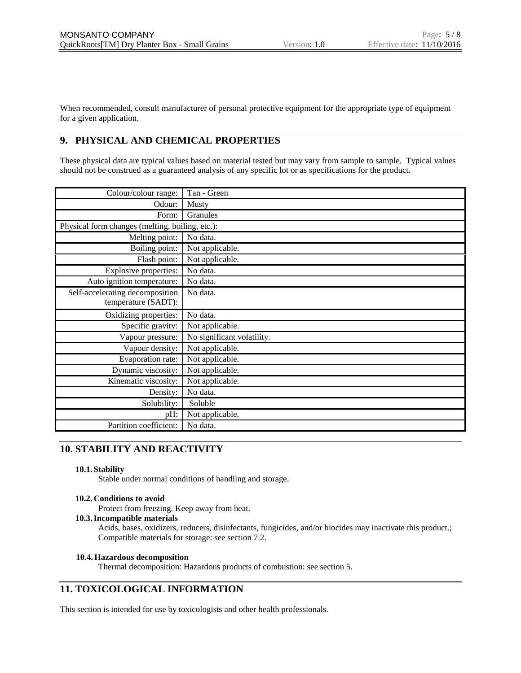When recommended, consult manufacturer of personal protective equipment for the appropriate type of equipment for a given application.

# **9. PHYSICAL AND CHEMICAL PROPERTIES**

These physical data are typical values based on material tested but may vary from sample to sample. Typical values should not be construed as a guaranteed analysis of any specific lot or as specifications for the product.

| Colour/colour range:                            | Tan - Green                |
|-------------------------------------------------|----------------------------|
| Odour:                                          | Musty                      |
| Form:                                           | Granules                   |
| Physical form changes (melting, boiling, etc.): |                            |
| Melting point:                                  | No data.                   |
| Boiling point:                                  | Not applicable.            |
| Flash point:                                    | Not applicable.            |
| Explosive properties:                           | No data.                   |
| Auto ignition temperature:                      | No data.                   |
| Self-accelerating decomposition                 | No data.                   |
| temperature (SADT):                             |                            |
| Oxidizing properties:                           | No data.                   |
| Specific gravity:                               | Not applicable.            |
| Vapour pressure:                                | No significant volatility. |
| Vapour density:                                 | Not applicable.            |
| Evaporation rate:                               | Not applicable.            |
| Dynamic viscosity:                              | Not applicable.            |
| Kinematic viscosity:                            | Not applicable.            |
| Density:                                        | No data.                   |
| Solubility:                                     | Soluble                    |
| pH:                                             | Not applicable.            |
| Partition coefficient:                          | No data.                   |

# **10. STABILITY AND REACTIVITY**

#### **10.1. Stability**

Stable under normal conditions of handling and storage.

# **10.2. Conditions to avoid**

Protect from freezing. Keep away from heat.

### **10.3.Incompatible materials**

Acids, bases, oxidizers, reducers, disinfectants, fungicides, and/or biocides may inactivate this product.; Compatible materials for storage: see section 7.2.

#### **10.4.Hazardous decomposition**

Thermal decomposition: Hazardous products of combustion: see section 5.

# **11. TOXICOLOGICAL INFORMATION**

This section is intended for use by toxicologists and other health professionals.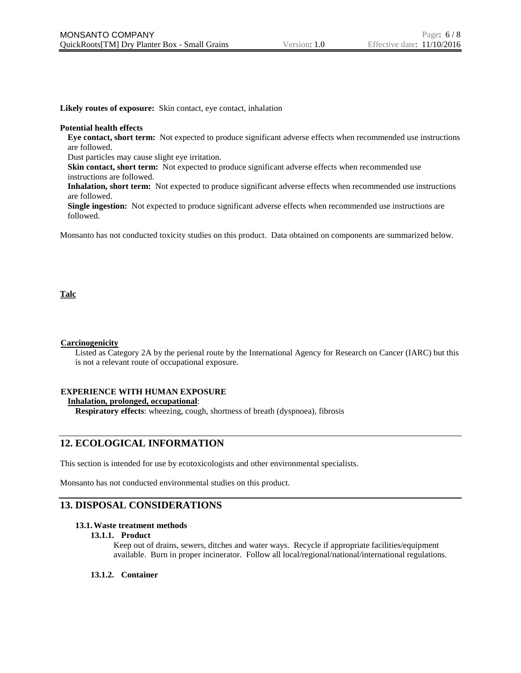**Likely routes of exposure:** Skin contact, eye contact, inhalation

#### **Potential health effects**

**Eye contact, short term:** Not expected to produce significant adverse effects when recommended use instructions are followed.

Dust particles may cause slight eye irritation.

**Skin contact, short term:** Not expected to produce significant adverse effects when recommended use instructions are followed.

**Inhalation, short term:** Not expected to produce significant adverse effects when recommended use instructions are followed.

**Single ingestion:** Not expected to produce significant adverse effects when recommended use instructions are followed.

Monsanto has not conducted toxicity studies on this product. Data obtained on components are summarized below.

### **Talc**

#### **Carcinogenicity**

Listed as Category 2A by the perienal route by the International Agency for Research on Cancer (IARC) but this is not a relevant route of occupational exposure.

#### **EXPERIENCE WITH HUMAN EXPOSURE**

**Inhalation, prolonged, occupational**:

**Respiratory effects**: wheezing, cough, shortness of breath (dyspnoea), fibrosis

# **12. ECOLOGICAL INFORMATION**

This section is intended for use by ecotoxicologists and other environmental specialists.

Monsanto has not conducted environmental studies on this product.

# **13. DISPOSAL CONSIDERATIONS**

#### **13.1.Waste treatment methods**

#### **13.1.1. Product**

Keep out of drains, sewers, ditches and water ways. Recycle if appropriate facilities/equipment available. Burn in proper incinerator. Follow all local/regional/national/international regulations.

#### **13.1.2. Container**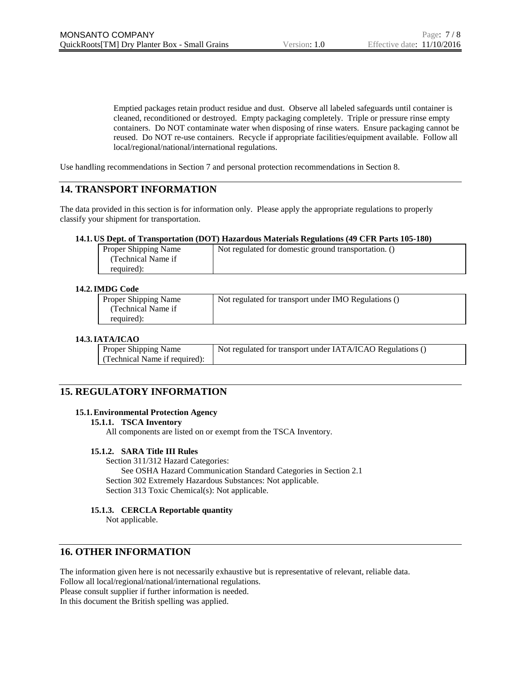Emptied packages retain product residue and dust. Observe all labeled safeguards until container is cleaned, reconditioned or destroyed. Empty packaging completely. Triple or pressure rinse empty containers. Do NOT contaminate water when disposing of rinse waters. Ensure packaging cannot be reused. Do NOT re-use containers. Recycle if appropriate facilities/equipment available. Follow all local/regional/national/international regulations.

Use handling recommendations in Section 7 and personal protection recommendations in Section 8.

# **14. TRANSPORT INFORMATION**

The data provided in this section is for information only. Please apply the appropriate regulations to properly classify your shipment for transportation.

### **14.1. US Dept. of Transportation (DOT) Hazardous Materials Regulations (49 CFR Parts 105-180)**

| Proper Shipping Name | Not regulated for domestic ground transportation. () |
|----------------------|------------------------------------------------------|
| (Technical Name if   |                                                      |
| required):           |                                                      |

### **14.2.IMDG Code**

| Proper Shipping Name | Not regulated for transport under IMO Regulations () |
|----------------------|------------------------------------------------------|
| (Technical Name if   |                                                      |
| required):           |                                                      |

### **14.3.IATA/ICAO**

| <b>Proper Shipping Name</b>   | Not regulated for transport under IATA/ICAO Regulations () |
|-------------------------------|------------------------------------------------------------|
| (Technical Name if required): |                                                            |

# **15. REGULATORY INFORMATION**

# **15.1.Environmental Protection Agency**

#### **15.1.1. TSCA Inventory**

All components are listed on or exempt from the TSCA Inventory.

# **15.1.2. SARA Title III Rules**

Section 311/312 Hazard Categories: See OSHA Hazard Communication Standard Categories in Section 2.1 Section 302 Extremely Hazardous Substances: Not applicable. Section 313 Toxic Chemical(s): Not applicable.

# **15.1.3. CERCLA Reportable quantity**

Not applicable.

# **16. OTHER INFORMATION**

The information given here is not necessarily exhaustive but is representative of relevant, reliable data. Follow all local/regional/national/international regulations. Please consult supplier if further information is needed. In this document the British spelling was applied.